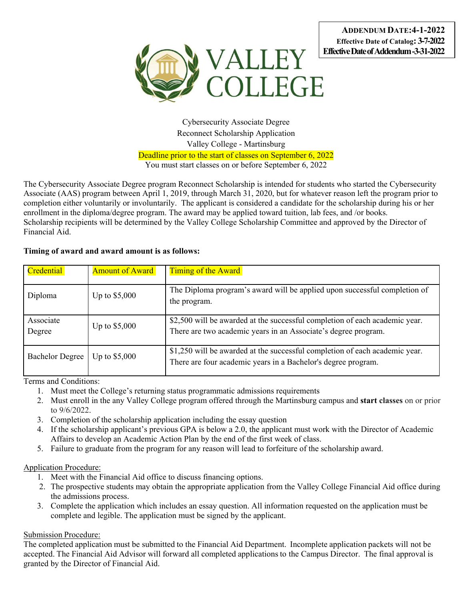

Cybersecurity Associate Degree Reconnect Scholarship Application Valley College - Martinsburg Deadline prior to the start of classes on September 6, 2022 You must start classes on or before September 6, 2022

The Cybersecurity Associate Degree program Reconnect Scholarship is intended for students who started the Cybersecurity Associate (AAS) program between April 1, 2019, through March 31, 2020, but for whatever reason left the program prior to completion either voluntarily or involuntarily. The applicant is considered a candidate for the scholarship during his or her enrollment in the diploma/degree program. The award may be applied toward tuition, lab fees, and /or books. Scholarship recipients will be determined by the Valley College Scholarship Committee and approved by the Director of Financial Aid.

### **Timing of award and award amount is as follows:**

| Credential             | <b>Amount of Award</b> | <b>Timing of the Award</b>                                                                                                                    |
|------------------------|------------------------|-----------------------------------------------------------------------------------------------------------------------------------------------|
| Diploma                | Up to \$5,000          | The Diploma program's award will be applied upon successful completion of<br>the program.                                                     |
| Associate<br>Degree    | Up to $$5,000$         | \$2,500 will be awarded at the successful completion of each academic year.<br>There are two academic years in an Associate's degree program. |
| <b>Bachelor Degree</b> | Up to $$5,000$         | \$1,250 will be awarded at the successful completion of each academic year.<br>There are four academic years in a Bachelor's degree program.  |

Terms and Conditions:

- 1. Must meet the College's returning status programmatic admissions requirements
- 2. Must enroll in the any Valley College program offered through the Martinsburg campus and **start classes** on or prior to 9/6/2022.
- 3. Completion of the scholarship application including the essay question
- 4. If the scholarship applicant's previous GPA is below a 2.0, the applicant must work with the Director of Academic Affairs to develop an Academic Action Plan by the end of the first week of class.
- 5. Failure to graduate from the program for any reason will lead to forfeiture of the scholarship award.

#### Application Procedure:

- 1. Meet with the Financial Aid office to discuss financing options.
- 2. The prospective students may obtain the appropriate application from the Valley College Financial Aid office during the admissions process.
- 3. Complete the application which includes an essay question. All information requested on the application must be complete and legible. The application must be signed by the applicant.

## Submission Procedure:

The completed application must be submitted to the Financial Aid Department. Incomplete application packets will not be accepted. The Financial Aid Advisor will forward all completed applications to the Campus Director. The final approval is granted by the Director of Financial Aid.